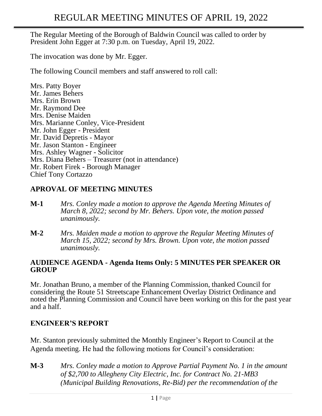The Regular Meeting of the Borough of Baldwin Council was called to order by President John Egger at 7:30 p.m. on Tuesday, April 19, 2022.

The invocation was done by Mr. Egger.

The following Council members and staff answered to roll call:

Mrs. Patty Boyer Mr. James Behers Mrs. Erin Brown Mr. Raymond Dee Mrs. Denise Maiden Mrs. Marianne Conley, Vice-President Mr. John Egger - President Mr. David Depretis - Mayor Mr. Jason Stanton - Engineer Mrs. Ashley Wagner - Solicitor Mrs. Diana Behers – Treasurer (not in attendance) Mr. Robert Firek - Borough Manager Chief Tony Cortazzo

### **APROVAL OF MEETING MINUTES**

- **M-1** *Mrs. Conley made a motion to approve the Agenda Meeting Minutes of March 8, 2022; second by Mr. Behers. Upon vote, the motion passed unanimously.*
- **M-2** *Mrs. Maiden made a motion to approve the Regular Meeting Minutes of March 15, 2022; second by Mrs. Brown. Upon vote, the motion passed unanimously.*

#### **AUDIENCE AGENDA - Agenda Items Only: 5 MINUTES PER SPEAKER OR GROUP**

Mr. Jonathan Bruno, a member of the Planning Commission, thanked Council for considering the Route 51 Streetscape Enhancement Overlay District Ordinance and noted the Planning Commission and Council have been working on this for the past year and a half.

### **ENGINEER'S REPORT**

Mr. Stanton previously submitted the Monthly Engineer's Report to Council at the Agenda meeting. He had the following motions for Council's consideration:

**M-3** *Mrs. Conley made a motion to Approve Partial Payment No. 1 in the amount of \$2,700 to Allegheny City Electric, Inc. for Contract No. 21-MB3 (Municipal Building Renovations, Re-Bid) per the recommendation of the*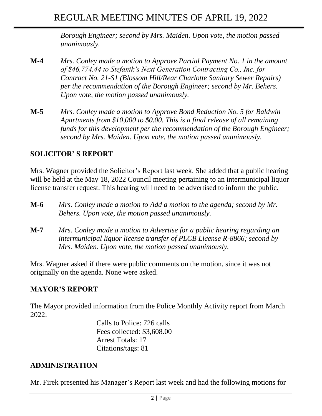*Borough Engineer; second by Mrs. Maiden. Upon vote, the motion passed unanimously.*

- **M-4** *Mrs. Conley made a motion to Approve Partial Payment No. 1 in the amount of \$46,774.44 to Stefanik's Next Generation Contracting Co., Inc. for Contract No. 21-S1 (Blossom Hill/Rear Charlotte Sanitary Sewer Repairs) per the recommendation of the Borough Engineer; second by Mr. Behers. Upon vote, the motion passed unanimously.*
- **M-5** *Mrs. Conley made a motion to Approve Bond Reduction No. 5 for Baldwin Apartments from \$10,000 to \$0.00. This is a final release of all remaining funds for this development per the recommendation of the Borough Engineer; second by Mrs. Maiden. Upon vote, the motion passed unanimously.*

# **SOLICITOR' S REPORT**

Mrs. Wagner provided the Solicitor's Report last week. She added that a public hearing will be held at the May 18, 2022 Council meeting pertaining to an intermunicipal liquor license transfer request. This hearing will need to be advertised to inform the public.

- **M-6** *Mrs. Conley made a motion to Add a motion to the agenda; second by Mr. Behers. Upon vote, the motion passed unanimously.*
- **M-7** *Mrs. Conley made a motion to Advertise for a public hearing regarding an intermunicipal liquor license transfer of PLCB License R-8866; second by Mrs. Maiden. Upon vote, the motion passed unanimously.*

Mrs. Wagner asked if there were public comments on the motion, since it was not originally on the agenda. None were asked.

### **MAYOR'S REPORT**

The Mayor provided information from the Police Monthly Activity report from March 2022:

> Calls to Police: 726 calls Fees collected: \$3,608.00 Arrest Totals: 17 Citations/tags: 81

#### **ADMINISTRATION**

Mr. Firek presented his [Manager's Report](https://drive.google.com/open?id=0BwpnQ0n2QiS-ckRqemF5S296R00) last week and had the following motions for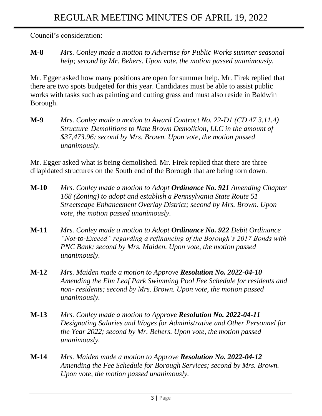Council's consideration:

**M-8** *Mrs. Conley made a motion to Advertise for Public Works summer seasonal help; second by Mr. Behers. Upon vote, the motion passed unanimously.*

Mr. Egger asked how many positions are open for summer help. Mr. Firek replied that there are two spots budgeted for this year. Candidates must be able to assist public works with tasks such as painting and cutting grass and must also reside in Baldwin Borough.

**M-9** *Mrs. Conley made a motion to Award Contract No. 22-D1 (CD 47 3.11.4) Structure Demolitions to Nate Brown Demolition, LLC in the amount of \$37,473.96; second by Mrs. Brown. Upon vote, the motion passed unanimously.*

Mr. Egger asked what is being demolished. Mr. Firek replied that there are three dilapidated structures on the South end of the Borough that are being torn down.

- **M-10** *Mrs. Conley made a motion to Adopt Ordinance No. 921 Amending Chapter 168 (Zoning) to adopt and establish a Pennsylvania State Route 51 Streetscape Enhancement Overlay District; second by Mrs. Brown. Upon vote, the motion passed unanimously.*
- **M-11** *Mrs. Conley made a motion to Adopt Ordinance No. 922 Debit Ordinance "Not-to-Exceed" regarding a refinancing of the Borough's 2017 Bonds with PNC Bank; second by Mrs. Maiden. Upon vote, the motion passed unanimously.*
- **M-12** *Mrs. Maiden made a motion to Approve Resolution No. 2022-04-10 Amending the Elm Leaf Park Swimming Pool Fee Schedule for residents and non- residents; second by Mrs. Brown. Upon vote, the motion passed unanimously.*
- **M-13** *Mrs. Conley made a motion to Approve Resolution No. 2022-04-11 Designating Salaries and Wages for Administrative and Other Personnel for the Year 2022; second by Mr. Behers. Upon vote, the motion passed unanimously.*
- **M-14** *Mrs. Maiden made a motion to Approve Resolution No. 2022-04-12 Amending the Fee Schedule for Borough Services; second by Mrs. Brown. Upon vote, the motion passed unanimously.*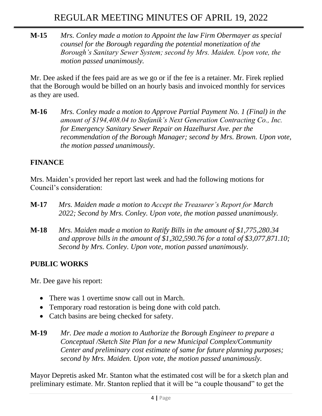#### **M-15** *Mrs. Conley made a motion to Appoint the law Firm Obermayer as special counsel for the Borough regarding the potential monetization of the Borough's Sanitary Sewer System; second by Mrs. Maiden. Upon vote, the motion passed unanimously.*

Mr. Dee asked if the fees paid are as we go or if the fee is a retainer. Mr. Firek replied that the Borough would be billed on an hourly basis and invoiced monthly for services as they are used.

**M-16** *Mrs. Conley made a motion to Approve Partial Payment No. 1 (Final) in the amount of \$194,408.04 to Stefanik's Next Generation Contracting Co., Inc. for Emergency Sanitary Sewer Repair on Hazelhurst Ave. per the recommendation of the Borough Manager; second by Mrs. Brown. Upon vote, the motion passed unanimously.*

# **FINANCE**

Mrs. Maiden's provided her report last week and had the following motions for Council's consideration:

- **M-17** *Mrs. Maiden made a motion to Accept the Treasurer's Report for March 2022; Second by Mrs. Conley. Upon vote, the motion passed unanimously.*
- **M-18** *Mrs. Maiden made a motion to [Ratify Bills in the amount of \\$1,775,280.34](https://drive.google.com/open?id=0B9Kkkw-rMfoadjkxSU1jVEZxRUE) [and approve bills in the amount of \\$1,302,590.76](https://drive.google.com/open?id=0B9Kkkw-rMfoadjkxSU1jVEZxRUE) for a total of \$3,077,871.10; Second by Mrs. Conley. Upon vote, motion passed unanimously.*

## **PUBLIC WORKS**

Mr. Dee gave his report:

- There was 1 overtime snow call out in March.
- Temporary road restoration is being done with cold patch.
- Catch basins are being checked for safety.
- **M-19** *Mr. Dee made a motion to Authorize the Borough Engineer to prepare a Conceptual /Sketch Site Plan for a new Municipal Complex/Community Center and preliminary cost estimate of same for future planning purposes; second by Mrs. Maiden. Upon vote, the motion passed unanimously.*

Mayor Depretis asked Mr. Stanton what the estimated cost will be for a sketch plan and preliminary estimate. Mr. Stanton replied that it will be "a couple thousand" to get the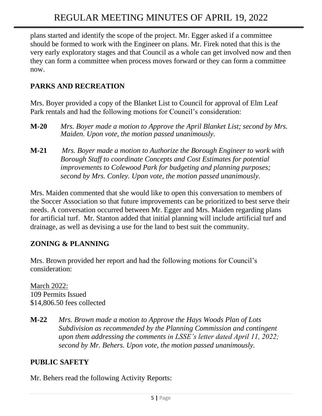plans started and identify the scope of the project. Mr. Egger asked if a committee should be formed to work with the Engineer on plans. Mr. Firek noted that this is the very early exploratory stages and that Council as a whole can get involved now and then they can form a committee when process moves forward or they can form a committee now.

# **PARKS AND RECREATION**

Mrs. Boyer provided a copy of the Blanket List to Council for approval of Elm Leaf Park rentals and had the following motions for Council's consideration:

- **M-20** *Mrs. Boyer made a motion to Approve the April Blanket List; second by Mrs. Maiden. Upon vote, the motion passed unanimously.*
- **M-21** *Mrs. Boyer made a motion to Authorize the Borough Engineer to work with Borough Staff to coordinate Concepts and Cost Estimates for potential improvements to Colewood Park for budgeting and planning purposes; second by Mrs. Conley. Upon vote, the motion passed unanimously.*

Mrs. Maiden commented that she would like to open this conversation to members of the Soccer Association so that future improvements can be prioritized to best serve their needs. A conversation occurred between Mr. Egger and Mrs. Maiden regarding plans for artificial turf. Mr. Stanton added that initial planning will include artificial turf and drainage, as well as devising a use for the land to best suit the community.

## **ZONING & PLANNING**

Mrs. Brown provided her report and had the following motions for Council's consideration:

March 2022: 109 Permits Issued \$14,806.50 fees collected

**M-22** *Mrs. Brown made a motion to Approve the Hays Woods Plan of Lots Subdivision as recommended by the Planning Commission and contingent upon them addressing the comments in LSSE's letter dated April 11, 2022; second by Mr. Behers. Upon vote, the motion passed unanimously.*

# **PUBLIC SAFETY**

Mr. Behers read the following Activity Reports: